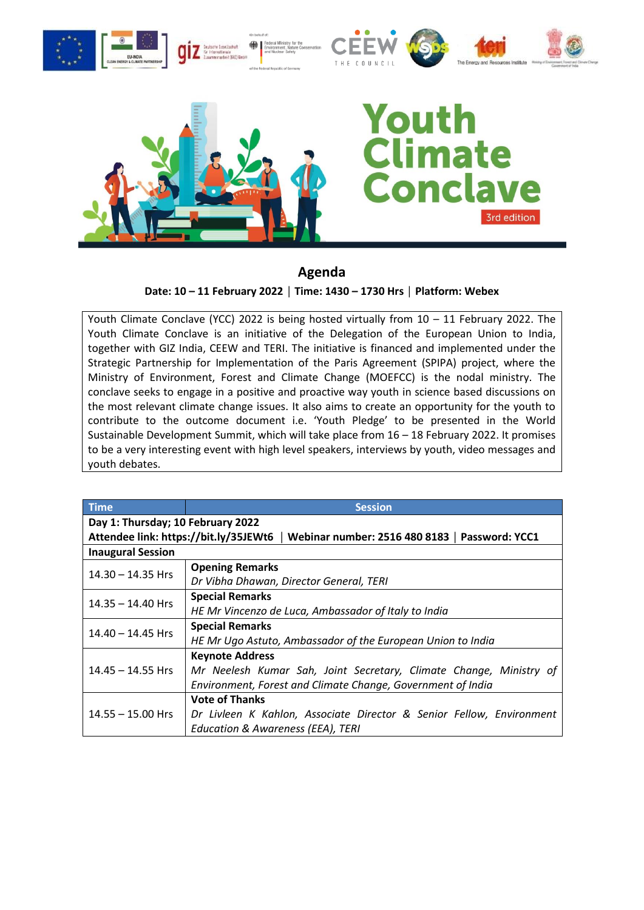



## imate Concla 3rd edition

## **Agenda**

**Date: 10 – 11 February 2022 │ Time: 1430 – 1730 Hrs │ Platform: Webex**

Youth Climate Conclave (YCC) 2022 is being hosted virtually from 10 – 11 February 2022. The Youth Climate Conclave is an initiative of the Delegation of the European Union to India, together with GIZ India, CEEW and TERI. The initiative is financed and implemented under the Strategic Partnership for Implementation of the Paris Agreement (SPIPA) project, where the Ministry of Environment, Forest and Climate Change (MOEFCC) is the nodal ministry. The conclave seeks to engage in a positive and proactive way youth in science based discussions on the most relevant climate change issues. It also aims to create an opportunity for the youth to contribute to the outcome document i.e. 'Youth Pledge' to be presented in the World Sustainable Development Summit, which will take place from 16 – 18 February 2022. It promises to be a very interesting event with high level speakers, interviews by youth, video messages and youth debates.

| <b>Time</b>                                                                             | <b>Session</b>                                                       |  |  |
|-----------------------------------------------------------------------------------------|----------------------------------------------------------------------|--|--|
| Day 1: Thursday; 10 February 2022                                                       |                                                                      |  |  |
| Attendee link: https://bit.ly/35JEWt6<br>Webinar number: 2516 480 8183   Password: YCC1 |                                                                      |  |  |
| <b>Inaugural Session</b>                                                                |                                                                      |  |  |
| $14.30 - 14.35$ Hrs                                                                     | <b>Opening Remarks</b>                                               |  |  |
|                                                                                         | Dr Vibha Dhawan, Director General, TERI                              |  |  |
| $14.35 - 14.40$ Hrs                                                                     | <b>Special Remarks</b>                                               |  |  |
|                                                                                         | HE Mr Vincenzo de Luca, Ambassador of Italy to India                 |  |  |
| $14.40 - 14.45$ Hrs                                                                     | <b>Special Remarks</b>                                               |  |  |
|                                                                                         | HE Mr Ugo Astuto, Ambassador of the European Union to India          |  |  |
|                                                                                         | <b>Keynote Address</b>                                               |  |  |
| $14.45 - 14.55$ Hrs                                                                     | Mr Neelesh Kumar Sah, Joint Secretary, Climate Change, Ministry of   |  |  |
|                                                                                         | Environment, Forest and Climate Change, Government of India          |  |  |
|                                                                                         | <b>Vote of Thanks</b>                                                |  |  |
| $14.55 - 15.00$ Hrs                                                                     | Dr Livleen K Kahlon, Associate Director & Senior Fellow, Environment |  |  |
|                                                                                         | Education & Awareness (EEA), TERI                                    |  |  |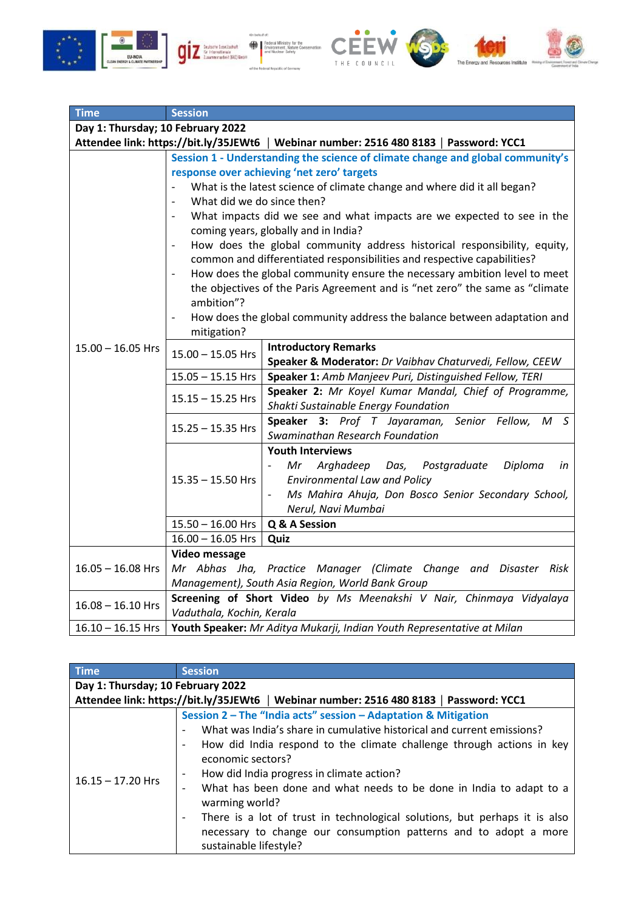







| <b>Time</b>                                                                            | <b>Session</b>                                                                                                                                                                                                                                                                                                                                                                                                                                                                                                                                           |  |
|----------------------------------------------------------------------------------------|----------------------------------------------------------------------------------------------------------------------------------------------------------------------------------------------------------------------------------------------------------------------------------------------------------------------------------------------------------------------------------------------------------------------------------------------------------------------------------------------------------------------------------------------------------|--|
| Day 1: Thursday; 10 February 2022                                                      |                                                                                                                                                                                                                                                                                                                                                                                                                                                                                                                                                          |  |
| Attendee link: https://bit.ly/35JEWt6   Webinar number: 2516 480 8183   Password: YCC1 |                                                                                                                                                                                                                                                                                                                                                                                                                                                                                                                                                          |  |
| $16.15 - 17.20$ Hrs                                                                    | Session 2 - The "India acts" session - Adaptation & Mitigation<br>What was India's share in cumulative historical and current emissions?<br>How did India respond to the climate challenge through actions in key<br>economic sectors?<br>How did India progress in climate action?<br>What has been done and what needs to be done in India to adapt to a<br>warming world?<br>There is a lot of trust in technological solutions, but perhaps it is also<br>necessary to change our consumption patterns and to adopt a more<br>sustainable lifestyle? |  |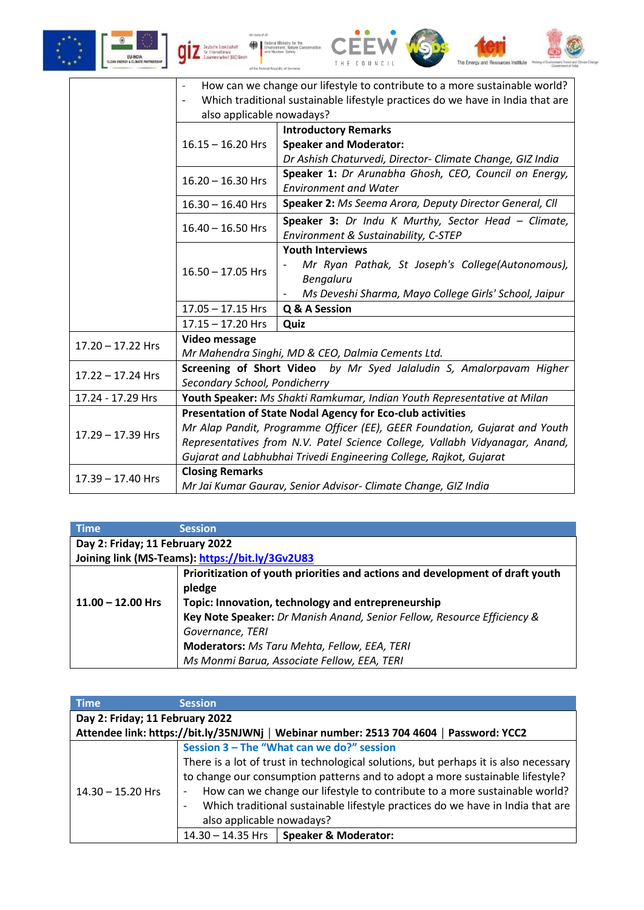



| <b>Time</b>                                     | <b>Session</b>                                                                |  |
|-------------------------------------------------|-------------------------------------------------------------------------------|--|
| Day 2: Friday; 11 February 2022                 |                                                                               |  |
| Joining link (MS-Teams): https://bit.ly/3Gv2U83 |                                                                               |  |
|                                                 | Prioritization of youth priorities and actions and development of draft youth |  |
|                                                 | pledge                                                                        |  |
| $11.00 - 12.00$ Hrs                             | Topic: Innovation, technology and entrepreneurship                            |  |
|                                                 | Key Note Speaker: Dr Manish Anand, Senior Fellow, Resource Efficiency &       |  |
|                                                 | Governance, TERI                                                              |  |
|                                                 | Moderators: Ms Taru Mehta, Fellow, EEA, TERI                                  |  |
|                                                 | Ms Monmi Barua, Associate Fellow, EEA, TERI                                   |  |

| <b>Time</b>                     | <b>Session</b>                                                                         |  |  |
|---------------------------------|----------------------------------------------------------------------------------------|--|--|
| Day 2: Friday; 11 February 2022 |                                                                                        |  |  |
|                                 | Attendee link: https://bit.ly/35NJWNj   Webinar number: 2513 704 4604   Password: YCC2 |  |  |
| $14.30 - 15.20$ Hrs             | Session 3 - The "What can we do?" session                                              |  |  |
|                                 | There is a lot of trust in technological solutions, but perhaps it is also necessary   |  |  |
|                                 | to change our consumption patterns and to adopt a more sustainable lifestyle?          |  |  |
|                                 | How can we change our lifestyle to contribute to a more sustainable world?             |  |  |
|                                 | Which traditional sustainable lifestyle practices do we have in India that are         |  |  |
|                                 | also applicable nowadays?                                                              |  |  |
|                                 | Speaker & Moderator:<br>$14.30 - 14.35$ Hrs                                            |  |  |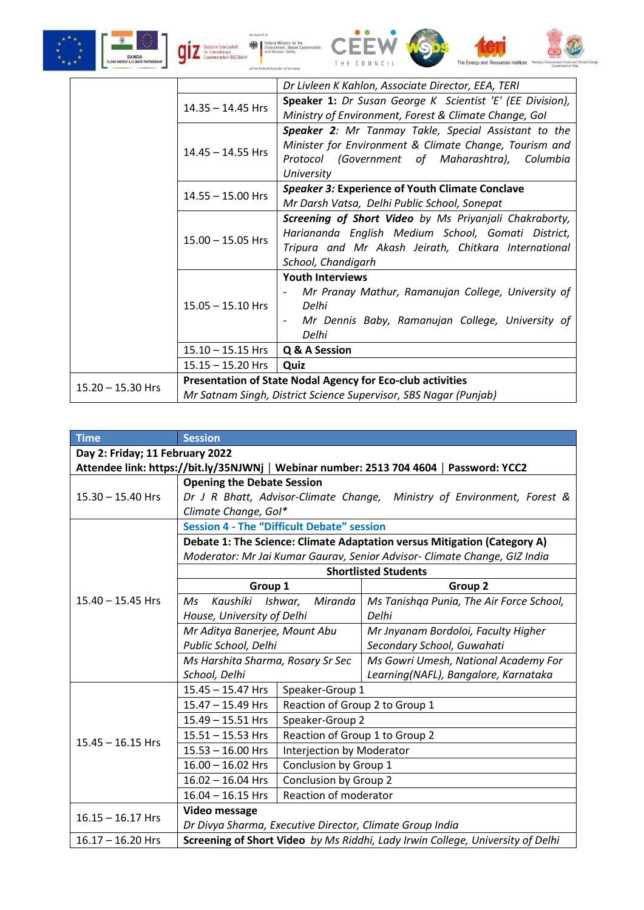









|                     | Dr Livleen K Kahlon, Associate Director, EEA, TERI                |                                                           |  |
|---------------------|-------------------------------------------------------------------|-----------------------------------------------------------|--|
|                     | $14.35 - 14.45$ Hrs                                               | Speaker 1: Dr Susan George K Scientist 'E' (EE Division), |  |
|                     |                                                                   | Ministry of Environment, Forest & Climate Change, Gol     |  |
|                     |                                                                   | Speaker 2: Mr Tanmay Takle, Special Assistant to the      |  |
|                     | $14.45 - 14.55$ Hrs                                               | Minister for Environment & Climate Change, Tourism and    |  |
|                     |                                                                   | Protocol (Government of Maharashtra), Columbia            |  |
|                     |                                                                   | University                                                |  |
|                     | $14.55 - 15.00$ Hrs                                               | <b>Speaker 3: Experience of Youth Climate Conclave</b>    |  |
|                     |                                                                   | Mr Darsh Vatsa, Delhi Public School, Sonepat              |  |
|                     | $15.00 - 15.05$ Hrs                                               | Screening of Short Video by Ms Priyanjali Chakraborty,    |  |
|                     |                                                                   | Hariananda English Medium School, Gomati District,        |  |
|                     |                                                                   | Tripura and Mr Akash Jeirath, Chitkara International      |  |
|                     |                                                                   | School, Chandigarh                                        |  |
|                     | $15.05 - 15.10$ Hrs                                               | <b>Youth Interviews</b>                                   |  |
|                     |                                                                   | Mr Pranay Mathur, Ramanujan College, University of        |  |
|                     |                                                                   | Delhi                                                     |  |
|                     |                                                                   | Mr Dennis Baby, Ramanujan College, University of          |  |
|                     |                                                                   | Delhi                                                     |  |
|                     | $15.10 - 15.15$ Hrs                                               | Q & A Session                                             |  |
|                     | $15.15 - 15.20$ Hrs                                               | Quiz                                                      |  |
|                     | <b>Presentation of State Nodal Agency for Eco-club activities</b> |                                                           |  |
| $15.20 - 15.30$ Hrs | Mr Satnam Singh, District Science Supervisor, SBS Nagar (Punjab)  |                                                           |  |

| <b>Time</b>                                                                            | <b>Session</b>                                                                 |                                |                                          |
|----------------------------------------------------------------------------------------|--------------------------------------------------------------------------------|--------------------------------|------------------------------------------|
| Day 2: Friday; 11 February 2022                                                        |                                                                                |                                |                                          |
| Attendee link: https://bit.ly/35NJWNj   Webinar number: 2513 704 4604   Password: YCC2 |                                                                                |                                |                                          |
|                                                                                        | <b>Opening the Debate Session</b>                                              |                                |                                          |
| $15.30 - 15.40$ Hrs                                                                    | Dr J R Bhatt, Advisor-Climate Change, Ministry of Environment, Forest &        |                                |                                          |
|                                                                                        | Climate Change, Gol*                                                           |                                |                                          |
|                                                                                        | <b>Session 4 - The "Difficult Debate" session</b>                              |                                |                                          |
|                                                                                        | Debate 1: The Science: Climate Adaptation versus Mitigation (Category A)       |                                |                                          |
|                                                                                        | Moderator: Mr Jai Kumar Gaurav, Senior Advisor- Climate Change, GIZ India      |                                |                                          |
|                                                                                        |                                                                                |                                | <b>Shortlisted Students</b>              |
|                                                                                        | Group 1                                                                        |                                | Group <sub>2</sub>                       |
| $15.40 - 15.45$ Hrs                                                                    | Kaushiki<br>Ms                                                                 | Miranda<br>Ishwar,             | Ms Tanishqa Punia, The Air Force School, |
|                                                                                        | House, University of Delhi                                                     |                                | Delhi                                    |
|                                                                                        | Mr Aditya Banerjee, Mount Abu                                                  |                                | Mr Jnyanam Bordoloi, Faculty Higher      |
|                                                                                        | Public School, Delhi                                                           |                                | Secondary School, Guwahati               |
|                                                                                        | Ms Harshita Sharma, Rosary Sr Sec                                              |                                | Ms Gowri Umesh, National Academy For     |
|                                                                                        | School, Delhi                                                                  |                                | Learning(NAFL), Bangalore, Karnataka     |
|                                                                                        | 15.45 - 15.47 Hrs                                                              | Speaker-Group 1                |                                          |
|                                                                                        | 15.47 - 15.49 Hrs                                                              | Reaction of Group 2 to Group 1 |                                          |
|                                                                                        | 15.49 - 15.51 Hrs                                                              | Speaker-Group 2                |                                          |
| $15.45 - 16.15$ Hrs                                                                    | $15.51 - 15.53$ Hrs                                                            | Reaction of Group 1 to Group 2 |                                          |
|                                                                                        | $15.53 - 16.00$ Hrs                                                            | Interjection by Moderator      |                                          |
|                                                                                        | $16.00 - 16.02$ Hrs                                                            | Conclusion by Group 1          |                                          |
|                                                                                        | $16.02 - 16.04$ Hrs                                                            | Conclusion by Group 2          |                                          |
|                                                                                        | $16.04 - 16.15$ Hrs                                                            | Reaction of moderator          |                                          |
| $16.15 - 16.17$ Hrs                                                                    | <b>Video message</b>                                                           |                                |                                          |
|                                                                                        | Dr Divya Sharma, Executive Director, Climate Group India                       |                                |                                          |
| $16.17 - 16.20$ Hrs                                                                    | Screening of Short Video by Ms Riddhi, Lady Irwin College, University of Delhi |                                |                                          |